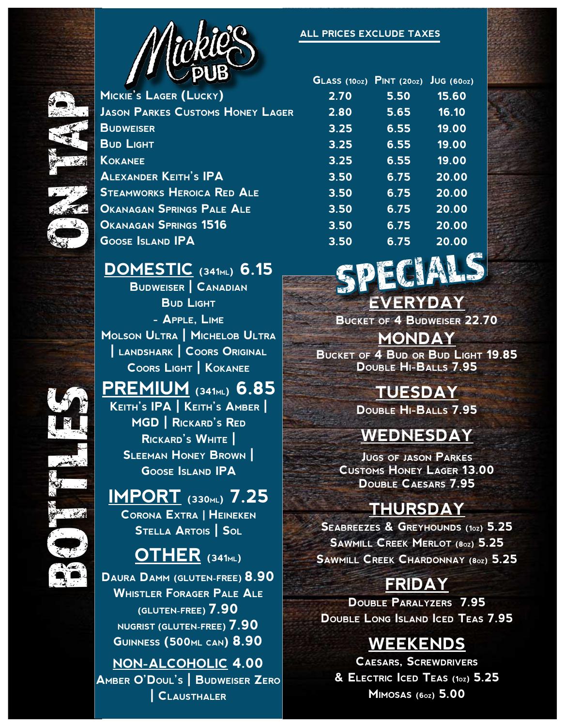#### **ALL PRICES EXCLUDE TAXES**





| MICKIE'S LAGER (LUCKY)                  |
|-----------------------------------------|
| <b>JASON PARKES CUSTOMS HONEY LAGER</b> |
| <b>BUDWEISER</b>                        |
| <b>BUD LIGHT</b>                        |
| KOKANEE                                 |
| <b>ALEXANDER KEITH'S IPA</b>            |
| Steamworks Heroica Red Ale              |
| <b>OKANAGAN SPRINGS PALE ALE</b>        |
| OKANAGAN SPRINGS 1516                   |
| <b>GOOSE ISLAND IPA</b>                 |

#### **DOMESTIC (341ml) 6.15**

**Budweiser | Canadian Bud Light - Apple, Lime Molson Ultra | Michelob Ultra | landshark | Coors Original Coors Light | Kokanee**

**PREMIUM** (341ML) **6.85**<br>
KEITH'S IPA | KEITH'S AMBER |<br>
MGD | RICKARD'S RED<br>
RICKARD'S WHITE |<br>
SLEEMAN HONEY BROWN |<br>
GOOSE ISLAND IPA<br> **IMPORT** (330ML) 7.25<br>
CORONA EXTRA | HEINEKEN<br>
STELLA ARTOIS | SOL<br>
<u>OTHER</u> (341ML) **Keith's IPA | Keith's Amber | MGD | Rickard's Red Rickard's White | Sleeman Honey Brown | Goose Island IPA**

# **IMPORT (330ml) 7.25**

**Corona Extra | Heineken Stella Artois | Sol**

#### **OTHER (341ml)**

**Daura Damm (GLUTEN-FREE) 8.90 Whistler Forager Pale Ale (GLUTEN-FREE) 7.90 NUGRIST (GLUTEN-FREE) 7.90 Guinness (500ml can) 8.90 NON-ALCOHOLIC 4.00 Amber O'Doul's | Budweiser Zero | Clausthaler**

| $GLASS$ (10 $oz$ ) | PINT (200z) | JUG(600z) |
|--------------------|-------------|-----------|
| 2.70               | 5.50        | 15.60     |
| 2.80               | 5.65        | 16.10     |
| 3.25               | 6.55        | 19.00     |
| 3.25               | 6.55        | 19.00     |
| 3.25               | 6.55        | 19.00     |
| 3.50               | 6.75        | 20.00     |
| 3.50               | 6.75        | 20.00     |
| 3.50               | 6.75        | 20.00     |
| 3.50               | 6.75        | 20.00     |
| 3.50               | 6.75        | 20.00     |
|                    |             |           |



**Bucket of 4 Budweiser 22.70 MONDAY**

**EVERYDAY**

**Bucket of 4 Bud or Bud Light 19.85 Double Hi-Balls 7.95**

### **TUESDAY**

**Double Hi-Balls 7.95**

#### **WEDNESDAY**

**Jugs of jason Parkes Customs Honey Lager 13.00 Double Caesars 7.95**

### **THURSDAY**

**Seabreezes & Greyhounds (1oz) 5.25 Sawmill Creek Merlot (8oz) 5.25 Sawmill Creek Chardonnay (8oz) 5.25**

# **FRIDAY**

**Double Paralyzers 7.95 Double Long Island Iced Teas 7.95**

### **WEEKENDS**

**Caesars, Screwdrivers & Electric Iced Teas (1oz) 5.25 Mimosas (6oz) 5.00**